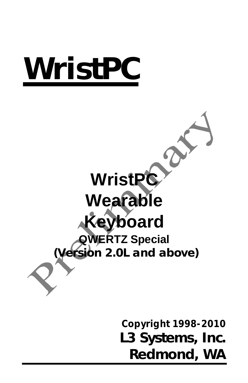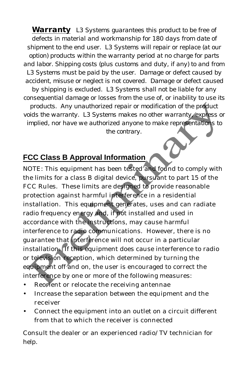*Warranty L3 Systems guarantees this product to be free of defects in material and workmanship for 180 days from date of shipment to the end user. L3 Systems will repair or replace (at our option) products within the warranty period at no charge for parts and labor. Shipping costs (plus customs and duty, if any) to and from L3 Systems must be paid by the user. Damage or defect caused by accident, misuse or neglect is not covered. Damage or defect caused by shipping is excluded. L3 Systems shall not be liable for any consequential damage or losses from the use of, or inability to use its products. Any unauthorized repair or modification of the product voids the warranty. L3 Systems makes no other warranty, express or implied, nor have we authorized anyone to make representations to the contrary.*

#### **FCC Class B Approval Information**

NOTE: This equipment has been tested and found to comply with the limits for a class B digital device, pursuant to part 15 of the FCC Rules. These limits are designed to provide reasonable protection against harmful interference in a residential installation. This equipment generates, uses and can radiate radio frequency energy and, if not installed and used in accordance with the instructions, may cause harmful interference to radio communications. However, there is no guarantee that *interference* will not occur in a particular installation. If this equipment does cause interference to radio or television reception, which determined by turning the equipment off and on, the user is encouraged to correct the interference by one or more of the following measures:

- Reorient or relocate the receiving antennae
- Increase the separation between the equipment and the receiver
- Connect the equipment into an outlet on a circuit different from that to which the receiver is connected

Consult the dealer or an experienced radio/TV technician for help.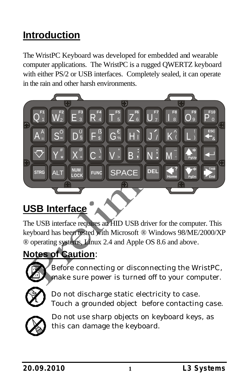# **Introduction**

The WristPC Keyboard was developed for embedded and wearable computer applications. The WristPC is a rugged QWERTZ keyboard with either PS/2 or USB interfaces. Completely sealed, it can operate in the rain and other harsh environments.



## **USB Interface**

The USB interface requires an HID USB driver for the computer. This keyboard has been tested with Microsoft ® Windows 98/ME/2000/XP ® operating systems, Linux 2.4 and Apple OS 8.6 and above.

### **Notes of Caution:**



Before connecting or disconnecting the WristPC, make sure power is turned off to your computer.



Do not discharge static electricity to case. Touch a grounded object before contacting case.



Do not use sharp objects on keyboard keys, as this can damage the keyboard.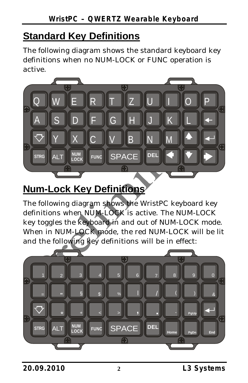## **Standard Key Definitions**

The following diagram shows the standard keyboard key definitions when no NUM-LOCK or FUNC operation is active.



## **Num-Lock Key Definitions**

The following diagram shows the WristPC keyboard key definitions when NUM-LOCK is active. The NUM-LOCK key toggles the keyboard in and out of NUM-LOCK mode. When in NUM-LOCK mode, the red NUM-LOCK will be lit and the following key definitions will be in effect:

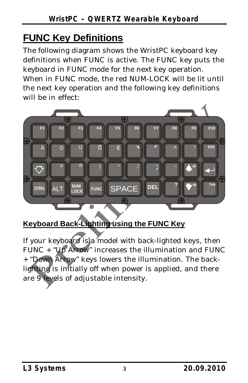# **FUNC Key Definitions**

The following diagram shows the WristPC keyboard key definitions when FUNC is active. The FUNC key puts the keyboard in FUNC mode for the next key operation. When in FUNC mode, the red NUM-LOCK will be lit until the next key operation and the following key definitions will be in effect:



### Keyboard Back-Lighting using the FUNC Key

If your keyboard is a model with back-lighted keys, then FUNC + "Up Arrow" increases the illumination and FUNC + "Down Arrow" keys lowers the illumination. The backlighting is initially off when power is applied, and there are 9 levels of adjustable intensity.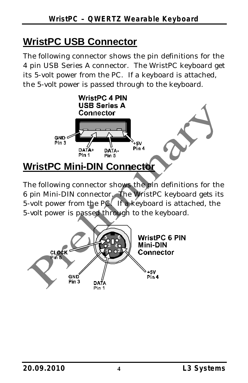## **WristPC USB Connector**

The following connector shows the pin definitions for the 4 pin USB Series A connector. The WristPC keyboard get its 5-volt power from the PC. If a keyboard is attached, the 5-volt power is passed through to the keyboard.



The following connector shows the pin definitions for the 6 pin Mini-DIN connector. The WristPC keyboard gets its 5-volt power from the PC. If a keyboard is attached, the 5-volt power is passed through to the keyboard.

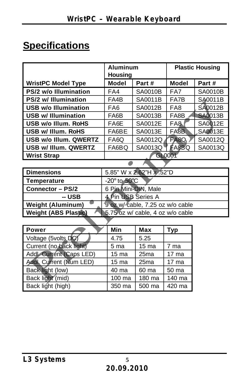# **Specifications**

|                                                                 | <b>Aluminum</b><br><b>Housing</b> |                  | <b>Plastic Housing</b> |                |
|-----------------------------------------------------------------|-----------------------------------|------------------|------------------------|----------------|
| <b>WristPC Model Type</b>                                       | <b>Model</b>                      | Part#            | <b>Model</b>           | Part#          |
| PS/2 w/o Illumination                                           | FA4                               | SA0010B          | FA7                    | <b>SA0010B</b> |
| PS/2 w/ Illumination                                            | FA4B                              | SA0011B          | FA7B                   | SA0011B        |
| <b>USB w/o Illumination</b>                                     | FA <sub>6</sub>                   | SA0012B          | FA <sub>8</sub>        | <b>SA0012B</b> |
| <b>USB w/ Illumination</b>                                      | FA6B                              | SA0013B          | FA8B                   | <b>SA0013B</b> |
| USB w/o Illum. RoHS                                             | FA6E                              | SA0012E          | FA <sub>8</sub>        | SA0012E        |
| USB w/ Illum. RoHS                                              | FA6BE                             | SA0013E          | FA <sub>8</sub> B      | SA0013E        |
| <b>USB w/o Illum. QWERTZ</b>                                    | FA6Q                              | SA0012Q          | FA <sub>8Q</sub>       | SA0012Q        |
| USB w/ Illum. QWERTZ                                            | FA6BQ                             | SA0013Q          | FA <sub>8</sub> BQ     | SA0013Q        |
| <b>Wrist Strap</b>                                              | GL0001                            |                  |                        |                |
|                                                                 |                                   |                  |                        |                |
| <b>Dimensions</b>                                               | 5.85" W x 2.62"H x .52"D          |                  |                        |                |
| <b>Temperature</b>                                              | -20 $^{\circ}$ to 50 $^{\circ}$ C |                  |                        |                |
| <b>Connector - PS/2</b>                                         | 6 Pin Mini-DIN, Male              |                  |                        |                |
| -- USB                                                          | 4 Pin USB Series A                |                  |                        |                |
| <b>Weight (Aluminum)</b>                                        | 9 oz w/ cable, 7.25 oz w/o cable  |                  |                        |                |
| <b>Weight (ABS Plastic)</b><br>5.75 oz w/ cable, 4 oz w/o cable |                                   |                  |                        |                |
|                                                                 |                                   |                  |                        |                |
| <b>Power</b>                                                    | Min                               | Max              | <b>Typ</b>             |                |
| Voltage (5volts_DC)                                             | 4.75                              | 5.25             |                        |                |
| Current (no back light)                                         | 5 ma                              | 15 <sub>ma</sub> | 7 ma                   |                |
| Addl. Current (Caps LED)                                        | 15 <sub>ma</sub>                  | 25 <sub>ma</sub> | $17 \text{ ma}$        |                |
| <b>Addl. Current (Num LED)</b>                                  | 15 ma                             | 25 <sub>ma</sub> | 17 <sub>ma</sub>       |                |
| Back light (low)                                                | 40 ma                             | 60 ma            | 50 ma                  |                |
| Back light (mid)                                                | 100 ma                            | 180 ma           | 140 ma                 |                |
| Back light (high)                                               | 350 ma                            | 500 ma           | 420 ma                 |                |